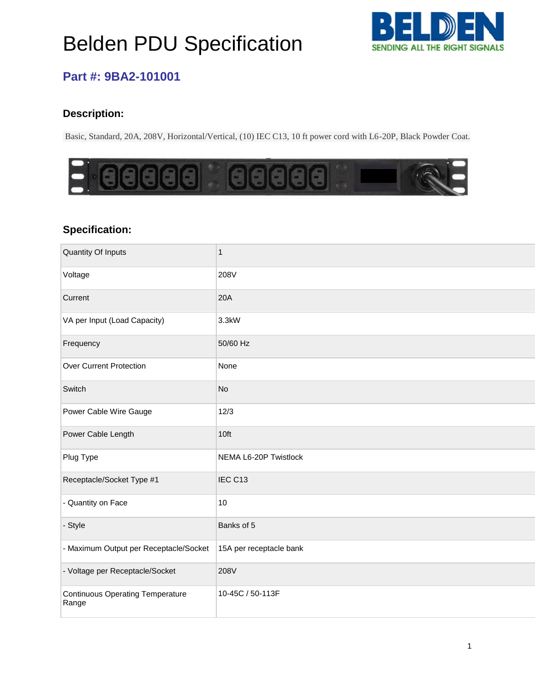# Belden PDU Specification



### **Part #: 9BA2-101001**

### **Description:**

Basic, Standard, 20A, 208V, Horizontal/Vertical, (10) IEC C13, 10 ft power cord with L6-20P, Black Powder Coat.



#### **Specification:**

| Quantity Of Inputs                               | $\mathbf{1}$            |
|--------------------------------------------------|-------------------------|
| Voltage                                          | 208V                    |
| Current                                          | 20A                     |
| VA per Input (Load Capacity)                     | 3.3kW                   |
| Frequency                                        | 50/60 Hz                |
| <b>Over Current Protection</b>                   | None                    |
| Switch                                           | No                      |
| Power Cable Wire Gauge                           | 12/3                    |
| Power Cable Length                               | 10ft                    |
| Plug Type                                        | NEMA L6-20P Twistlock   |
| Receptacle/Socket Type #1                        | IEC C13                 |
| - Quantity on Face                               | 10                      |
| - Style                                          | Banks of 5              |
| - Maximum Output per Receptacle/Socket           | 15A per receptacle bank |
| - Voltage per Receptacle/Socket                  | 208V                    |
| <b>Continuous Operating Temperature</b><br>Range | 10-45C / 50-113F        |